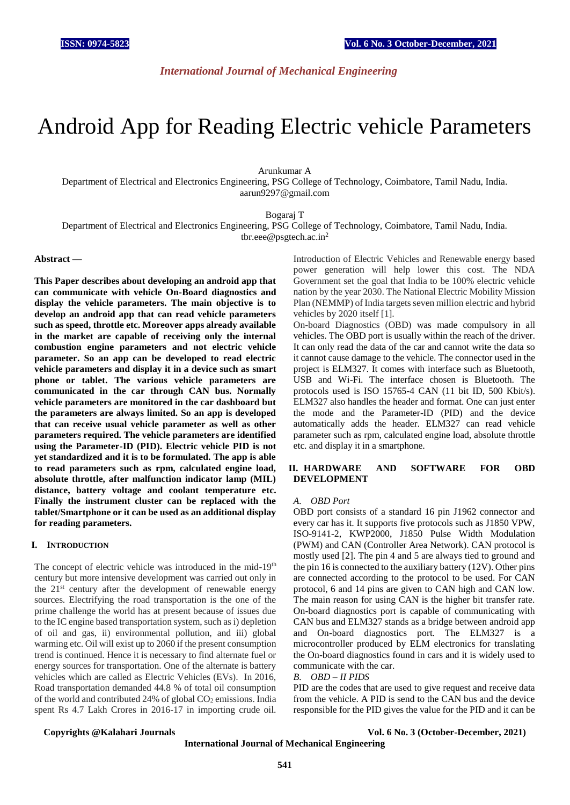*International Journal of Mechanical Engineering*

# Android App for Reading Electric vehicle Parameters

Arunkumar A Department of Electrical and Electronics Engineering, PSG College of Technology, Coimbatore, Tamil Nadu, India. [aarun9297@gmail.com](mailto:aarun9297@gmail.com)

Bogaraj T

Department of Electrical and Electronics Engineering, PSG College of Technology, Coimbatore, Tamil Nadu, India. [tbr.eee@psgtech.ac.in](mailto:tbr.eee@psgtech.ac.in)<sup>2</sup>

#### **Abstract** *—*

**This Paper describes about developing an android app that can communicate with vehicle On-Board diagnostics and display the vehicle parameters. The main objective is to develop an android app that can read vehicle parameters such as speed, throttle etc. Moreover apps already available in the market are capable of receiving only the internal combustion engine parameters and not electric vehicle parameter. So an app can be developed to read electric vehicle parameters and display it in a device such as smart phone or tablet. The various vehicle parameters are communicated in the car through CAN bus. Normally vehicle parameters are monitored in the car dashboard but the parameters are always limited. So an app is developed that can receive usual vehicle parameter as well as other parameters required. The vehicle parameters are identified using the Parameter-ID (PID). Electric vehicle PID is not yet standardized and it is to be formulated. The app is able to read parameters such as rpm, calculated engine load, absolute throttle, after malfunction indicator lamp (MIL) distance, battery voltage and coolant temperature etc. Finally the instrument cluster can be replaced with the tablet/Smartphone or it can be used as an additional display for reading parameters.** 

#### **I. INTRODUCTION**

The concept of electric vehicle was introduced in the mid-19<sup>th</sup> century but more intensive development was carried out only in the 21st century after the development of renewable energy sources. Electrifying the road transportation is the one of the prime challenge the world has at present because of issues due to the IC engine based transportation system, such as i) depletion of oil and gas, ii) environmental pollution, and iii) global warming etc. Oil will exist up to 2060 if the present consumption trend is continued. Hence it is necessary to find alternate fuel or energy sources for transportation. One of the alternate is battery vehicles which are called as Electric Vehicles (EVs). In 2016, Road transportation demanded 44.8 % of total oil consumption of the world and contributed  $24\%$  of global  $CO<sub>2</sub>$  emissions. India spent Rs 4.7 Lakh Crores in 2016-17 in importing crude oil.

Introduction of Electric Vehicles and Renewable energy based power generation will help lower this cost. The NDA Government set the goal that India to be 100% electric vehicle nation by the year 2030. The National Electric Mobility Mission Plan (NEMMP) of India targets seven million electric and hybrid vehicles by 2020 itself [1].

On-board Diagnostics (OBD) was made compulsory in all vehicles. The OBD port is usually within the reach of the driver. It can only read the data of the car and cannot write the data so it cannot cause damage to the vehicle. The connector used in the project is ELM327. It comes with interface such as Bluetooth, USB and Wi-Fi. The interface chosen is Bluetooth. The protocols used is ISO 15765-4 CAN (11 bit ID, 500 Kbit/s). ELM327 also handles the header and format. One can just enter the mode and the Parameter-ID (PID) and the device automatically adds the header. ELM327 can read vehicle parameter such as rpm, calculated engine load, absolute throttle etc. and display it in a smartphone.

#### **II. HARDWARE AND SOFTWARE FOR OBD DEVELOPMENT**

#### *A. OBD Port*

OBD port consists of a standard 16 pin J1962 connector and every car has it. It supports five protocols such as J1850 VPW, ISO-9141-2, KWP2000, J1850 Pulse Width Modulation (PWM) and CAN (Controller Area Network). CAN protocol is mostly used [2]. The pin 4 and 5 are always tied to ground and the pin 16 is connected to the auxiliary battery (12V). Other pins are connected according to the protocol to be used. For CAN protocol, 6 and 14 pins are given to CAN high and CAN low. The main reason for using CAN is the higher bit transfer rate. On-board diagnostics port is capable of communicating with CAN bus and ELM327 stands as a bridge between android app and On-board diagnostics port. The ELM327 is a microcontroller produced by ELM electronics for translating the On-board diagnostics found in cars and it is widely used to communicate with the car.

#### *B. OBD – II PIDS*

PID are the codes that are used to give request and receive data from the vehicle. A PID is send to the CAN bus and the device responsible for the PID gives the value for the PID and it can be

#### **Copyrights @Kalahari Journals Vol. 6 No. 3 (October-December, 2021)**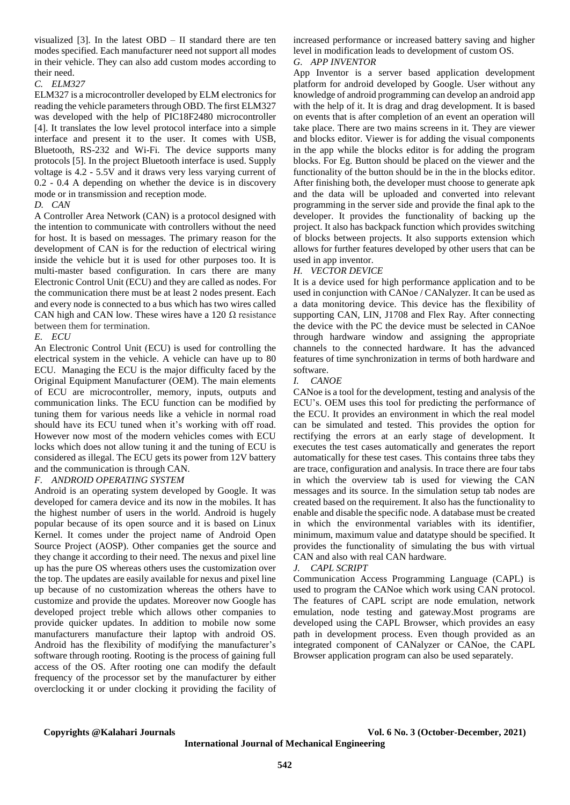visualized [3]. In the latest OBD – II standard there are ten modes specified. Each manufacturer need not support all modes in their vehicle. They can also add custom modes according to their need.

#### *C. ELM327*

ELM327 is a microcontroller developed by ELM electronics for reading the vehicle parameters through OBD. The first ELM327 was developed with the help of PIC18F2480 microcontroller [4]. It translates the low level protocol interface into a simple interface and present it to the user. It comes with USB, Bluetooth, RS-232 and Wi-Fi. The device supports many protocols [5]. In the project Bluetooth interface is used. Supply voltage is 4.2 - 5.5V and it draws very less varying current of 0.2 - 0.4 A depending on whether the device is in discovery mode or in transmission and reception mode.

#### *D. CAN*

A Controller Area Network (CAN) is a protocol designed with the intention to communicate with controllers without the need for host. It is based on messages. The primary reason for the development of CAN is for the reduction of electrical wiring inside the vehicle but it is used for other purposes too. It is multi-master based configuration. In cars there are many Electronic Control Unit (ECU) and they are called as nodes. For the communication there must be at least 2 nodes present. Each and every node is connected to a bus which has two wires called CAN high and CAN low. These wires have a 120  $\Omega$  resistance between them for termination.

#### *E. ECU*

An Electronic Control Unit (ECU) is used for controlling the electrical system in the vehicle. A vehicle can have up to 80 ECU. Managing the ECU is the major difficulty faced by the Original Equipment Manufacturer (OEM). The main elements of ECU are microcontroller, memory, inputs, outputs and communication links. The ECU function can be modified by tuning them for various needs like a vehicle in normal road should have its ECU tuned when it's working with off road. However now most of the modern vehicles comes with ECU locks which does not allow tuning it and the tuning of ECU is considered as illegal. The ECU gets its power from 12V battery and the communication is through CAN.

#### *F. ANDROID OPERATING SYSTEM*

Android is an operating system developed by Google. It was developed for camera device and its now in the mobiles. It has the highest number of users in the world. Android is hugely popular because of its open source and it is based on Linux Kernel. It comes under the project name of Android Open Source Project (AOSP). Other companies get the source and they change it according to their need. The nexus and pixel line up has the pure OS whereas others uses the customization over the top. The updates are easily available for nexus and pixel line up because of no customization whereas the others have to customize and provide the updates. Moreover now Google has developed project treble which allows other companies to provide quicker updates. In addition to mobile now some manufacturers manufacture their laptop with android OS. Android has the flexibility of modifying the manufacturer's software through rooting. Rooting is the process of gaining full access of the OS. After rooting one can modify the default frequency of the processor set by the manufacturer by either overclocking it or under clocking it providing the facility of increased performance or increased battery saving and higher level in modification leads to development of custom OS.

#### *G. APP INVENTOR*

App Inventor is a server based application development platform for android developed by Google. User without any knowledge of android programming can develop an android app with the help of it. It is drag and drag development. It is based on events that is after completion of an event an operation will take place. There are two mains screens in it. They are viewer and blocks editor. Viewer is for adding the visual components in the app while the blocks editor is for adding the program blocks. For Eg. Button should be placed on the viewer and the functionality of the button should be in the in the blocks editor. After finishing both, the developer must choose to generate apk and the data will be uploaded and converted into relevant programming in the server side and provide the final apk to the developer. It provides the functionality of backing up the project. It also has backpack function which provides switching of blocks between projects. It also supports extension which allows for further features developed by other users that can be used in app inventor.

#### *H. VECTOR DEVICE*

It is a device used for high performance application and to be used in conjunction with CANoe / CANalyzer. It can be used as a data monitoring device. This device has the flexibility of supporting CAN, LIN, J1708 and Flex Ray. After connecting the device with the PC the device must be selected in CANoe through hardware window and assigning the appropriate channels to the connected hardware. It has the advanced features of time synchronization in terms of both hardware and software.

#### *I. CANOE*

CANoe is a tool for the development, testing and analysis of the ECU's. OEM uses this tool for predicting the performance of the ECU. It provides an environment in which the real model can be simulated and tested. This provides the option for rectifying the errors at an early stage of development. It executes the test cases automatically and generates the report automatically for these test cases. This contains three tabs they are trace, configuration and analysis. In trace there are four tabs in which the overview tab is used for viewing the CAN messages and its source. In the simulation setup tab nodes are created based on the requirement. It also has the functionality to enable and disable the specific node. A database must be created in which the environmental variables with its identifier, minimum, maximum value and datatype should be specified. It provides the functionality of simulating the bus with virtual CAN and also with real CAN hardware.

#### *J. CAPL SCRIPT*

Communication Access Programming Language (CAPL) is used to program the CANoe which work using CAN protocol. The features of CAPL script are node emulation, network emulation, node testing and gateway.Most programs are developed using the CAPL Browser, which provides an easy path in development process. Even though provided as an integrated component of CANalyzer or CANoe, the CAPL Browser application program can also be used separately.

#### **Copyrights @Kalahari Journals Vol. 6 No. 3 (October-December, 2021)**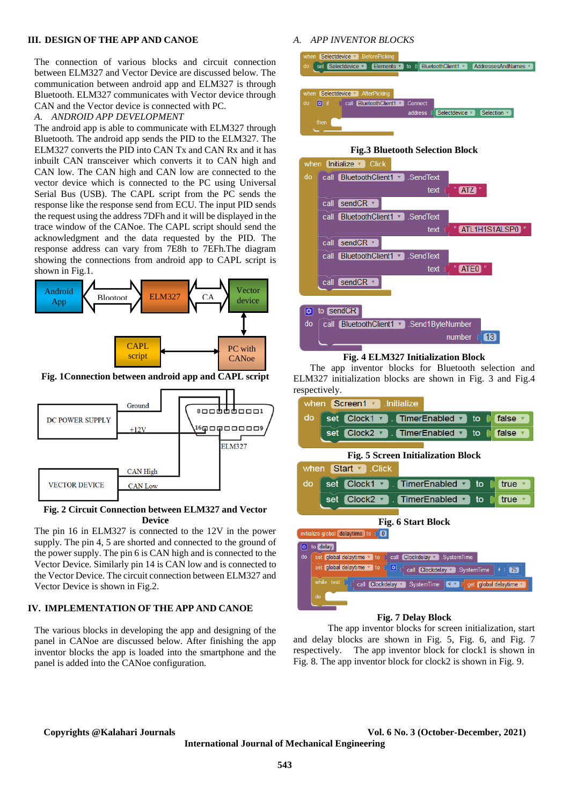#### **III. DESIGN OF THE APP AND CANOE**

The connection of various blocks and circuit connection between ELM327 and Vector Device are discussed below. The communication between android app and ELM327 is through Bluetooth. ELM327 communicates with Vector device through CAN and the Vector device is connected with PC.

#### *A. ANDROID APP DEVELOPMENT*

The android app is able to communicate with ELM327 through Bluetooth. The android app sends the PID to the ELM327. The ELM327 converts the PID into CAN Tx and CAN Rx and it has inbuilt CAN transceiver which converts it to CAN high and CAN low. The CAN high and CAN low are connected to the vector device which is connected to the PC using Universal Serial Bus (USB). The CAPL script from the PC sends the response like the response send from ECU. The input PID sends the request using the address 7DFh and it will be displayed in the trace window of the CANoe. The CAPL script should send the acknowledgment and the data requested by the PID. The response address can vary from 7E8h to 7EFh.The diagram showing the connections from android app to CAPL script is shown in Fig.1.



**Fig. 1Connection between android app and CAPL script**



#### **Fig. 2 Circuit Connection between ELM327 and Vector Device**

The pin 16 in ELM327 is connected to the 12V in the power supply. The pin 4, 5 are shorted and connected to the ground of the power supply. The pin 6 is CAN high and is connected to the Vector Device. Similarly pin 14 is CAN low and is connected to the Vector Device. The circuit connection between ELM327 and Vector Device is shown in Fig.2.

#### **IV. IMPLEMENTATION OF THE APP AND CANOE**

The various blocks in developing the app and designing of the panel in CANoe are discussed below. After finishing the app inventor blocks the app is loaded into the smartphone and the panel is added into the CANoe configuration.

#### *A. APP INVENTOR BLOCKS*



## **Fig.3 Bluetooth Selection Block**



#### **Fig. 4 ELM327 Initialization Block**

 The app inventor blocks for Bluetooth selection and ELM327 initialization blocks are shown in Fig. 3 and Fig.4 respectively.



#### **Fig. 7 Delay Block**

The app inventor blocks for screen initialization, start and delay blocks are shown in Fig. 5, Fig. 6, and Fig. 7 respectively. The app inventor block for clock1 is shown in Fig. 8. The app inventor block for clock2 is shown in Fig. 9.

#### **Copyrights @Kalahari Journals Vol. 6 No. 3 (October-December, 2021)**

**International Journal of Mechanical Engineering**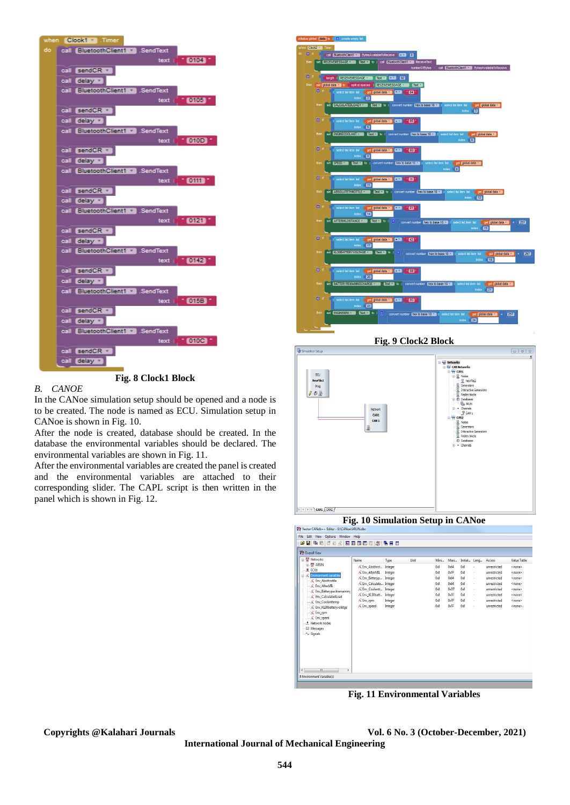

**Fig. 8 Clock1 Block**

#### *B. CANOE*

In the CANoe simulation setup should be opened and a node is to be created. The node is named as ECU. Simulation setup in CANoe is shown in Fig. 10.

After the node is created, database should be created. In the database the environmental variables should be declared. The environmental variables are shown in Fig. 11.

After the environmental variables are created the panel is created and the environmental variables are attached to their corresponding slider. The CAPL script is then written in the panel which is shown in Fig. 12.



**Fig. 9 Clock2 Block**



**Fig. 10 Simulation Setup in CANoe Charles CAMdhas California** 

| <b>WE</b> Overall View                                                                                                                                                                       |                               |         |      |      |                   |              |    |              |                    |
|----------------------------------------------------------------------------------------------------------------------------------------------------------------------------------------------|-------------------------------|---------|------|------|-------------------|--------------|----|--------------|--------------------|
| - 4 Networks                                                                                                                                                                                 | Name                          | Type    | Unit | Mini | Maxi              | Initial Leng |    | Access       | <b>Value Table</b> |
| 由-W ARUN<br><b>D</b> ECUs                                                                                                                                                                    | & Env Absthrot Integer        |         |      | 0x0  | 0x64              | 0x0          | ×. | unrestricted | <none></none>      |
| <b>E- C</b> Environment variables                                                                                                                                                            | <b>K</b> Env AfterMIL         | Integer |      | 0x0  | 0xFF              | 0.0          | à, | unrestricted | <none></none>      |
| - C Env Absthrottle                                                                                                                                                                          | <b>K</b> Env Battervo Integer |         |      | 0x0  | 0 <sub>164</sub>  | 0x0          | ×. | unrestricted | <none></none>      |
| - & Env AfterMIL                                                                                                                                                                             | K Env Calculate Integer       |         |      | 0x0  | 0x64              | 0x0          | ×, | unrestricted | <none></none>      |
| - & Env_Batterypackremaining                                                                                                                                                                 | C Env Coolantt Integer        |         |      | 0x0  | 0 <sub>n</sub> 07 | 0.0          | ×. | unrestricted | <none></none>      |
| $-\mathcal{K}$ Env CalculatedLoad                                                                                                                                                            | K Env KL30batt Integer        |         |      | 0x0  | 0xFF              | 0x0          | ×, | unrestricted | <none></none>      |
| - & Env Coolanttemp                                                                                                                                                                          | <b>K</b> Env rpm              | Integer |      | 0x0  | 0xFF              | 0x0          | ×, | unrestricted | <none></none>      |
| - C Env KL30batteryvolatge<br>$-\mathcal{R}$ Env. rpm<br>$-\mathcal{R}$ Env_speed<br><b>F.</b> Network nodes<br>Messages<br>$\sim$ Signals<br>$\mathbf{m}$<br>$\overline{4}$<br>$\mathbf{F}$ | <b>K</b> Env_speed            | Integer |      | 0x0  | OvEE              | 0.0          | ×, | unrestricted | <none></none>      |

**Fig. 11 Environmental Variables**

**Copyrights @Kalahari Journals Vol. 6 No. 3 (October-December, 2021)**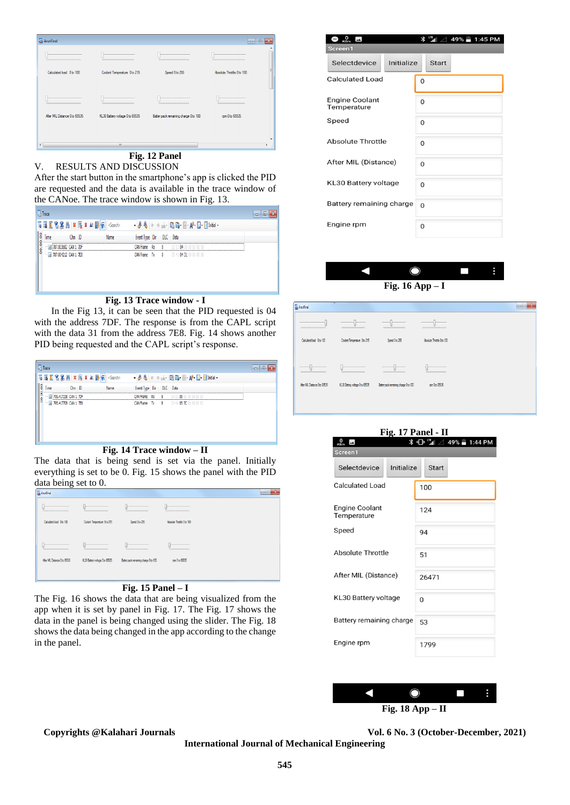| ArunFinal                        |                                 |                                                        | $\Box$                     | $\overline{\mathbf{x}}$<br>$\Box$ |
|----------------------------------|---------------------------------|--------------------------------------------------------|----------------------------|-----------------------------------|
| ,,,,,,,,,,,,,,,,,,,,,,,,,,,,,,,, |                                 |                                                        |                            |                                   |
| Calculated load 0 to 100         | Coolant Temperature 0 to 215    | Speed 0 to 255                                         | Absolute Throttle 0 to 100 | Ξ                                 |
|                                  |                                 |                                                        |                            |                                   |
|                                  |                                 | <b>RESERVED AND RESERVED FOR DISCUSSION CONTINUES.</b> |                            |                                   |
| After MIL Distance 0 to 65535    | KL30 Battery voltage 0 to 65535 | Batter pack remaining charge 0 to 100                  | rpm 0 to 65535             |                                   |
|                                  |                                 |                                                        |                            |                                   |
|                                  | $\mathbf{m}$                    |                                                        |                            | r                                 |
|                                  | T.                              | п.<br>4 A T                                            |                            |                                   |

### **Fig. 12 Panel**

V. RESULTS AND DISCUSSION After the start button in the smartphone's app is clicked the PID are requested and the data is available in the trace window of the CANoe. The trace window is shown in Fig. 13.

|          | L <sup>1</sup> Trace                     |                |  |      |                         |     |                                                                                                                                                                                                                                                                                                                                    |  |
|----------|------------------------------------------|----------------|--|------|-------------------------|-----|------------------------------------------------------------------------------------------------------------------------------------------------------------------------------------------------------------------------------------------------------------------------------------------------------------------------------------|--|
|          | <b>高速至名名前※辰Ⅲ At 國氣 <search></search></b> |                |  |      |                         |     | $\bullet$ $\frac{1}{2}$ $\frac{1}{2}$ $\circ$ $\circ$ $\frac{1}{12}$ $\cdot$ $\frac{1}{12}$ $\frac{1}{12}$ $\frac{1}{12}$ $\cdot$ $\frac{1}{12}$ $\cdot$ $\frac{1}{12}$ $\cdot$ $\frac{1}{12}$ $\cdot$ $\frac{1}{12}$ $\cdot$ $\frac{1}{12}$ $\cdot$ $\frac{1}{12}$ $\cdot$ $\frac{1}{12}$ $\cdot$ $\frac{1}{12}$ $\cdot$ $\frac{$ |  |
| 00:00:00 | lime                                     | $Chn$ $D$      |  | Name | Event Type Dir DLC Data |     |                                                                                                                                                                                                                                                                                                                                    |  |
|          |                                          | 1332 CAN 1 7DF |  |      | CAN Frame Ry            | - 8 | n4<br>02.01                                                                                                                                                                                                                                                                                                                        |  |
|          | M 787.004212 CAN 1 7E8                   |                |  |      |                         |     | <b>CAN Frame Tx 8 03 41 04 31 00 00 00 00</b>                                                                                                                                                                                                                                                                                      |  |
|          |                                          |                |  |      |                         |     |                                                                                                                                                                                                                                                                                                                                    |  |
|          |                                          |                |  |      |                         |     |                                                                                                                                                                                                                                                                                                                                    |  |
|          |                                          |                |  |      |                         |     |                                                                                                                                                                                                                                                                                                                                    |  |
|          |                                          |                |  |      |                         |     |                                                                                                                                                                                                                                                                                                                                    |  |

#### **Fig. 13 Trace window - I**

 In the Fig 13, it can be seen that the PID requested is 04 with the address 7DF. The response is from the CAPL script with the data 31 from the address 7E8. Fig. 14 shows another PID being requested and the CAPL script's response.

|          | $\Box$ Trace              |        |      |                         |    |                                               | o |
|----------|---------------------------|--------|------|-------------------------|----|-----------------------------------------------|---|
|          |                           |        |      |                         |    |                                               |   |
| 00:00:00 | Time                      | Chn ID | Name | Event Type Dir DLC Data |    |                                               |   |
|          | 795.417238 CAN 1 7DF      |        |      | CAN Frame Ry            | -8 | no ni<br>ns                                   |   |
|          | -- 3 795.417708 CAN 1 7E8 |        |      |                         |    | <b>CAN Frame Tx 8 03 41 05 7C 00 00 00 00</b> |   |
|          |                           |        |      |                         |    |                                               |   |
|          |                           |        |      |                         |    |                                               |   |
|          |                           |        |      |                         |    |                                               |   |
|          |                           |        |      |                         |    |                                               |   |
|          |                           |        |      |                         |    |                                               |   |

#### **Fig. 14 Trace window – II**

The data that is being send is set via the panel. Initially everything is set to be 0. Fig. 15 shows the panel with the PID data being set to 0.

| ArunFinal                                                    |                                 |                                                |                                                |  | olle |
|--------------------------------------------------------------|---------------------------------|------------------------------------------------|------------------------------------------------|--|------|
| <b>AS R AN EXTRACTOR R R P. F. LEWIS CO., LANSING, MICH.</b> |                                 |                                                | <b><i>COLORADO DE RESISTENTES DE RECEI</i></b> |  |      |
| Calculated load 0 to 100                                     | Coolant Temperature 0 to 215    | Speed 0to 255                                  | Absolute Throttle Oto 100                      |  |      |
|                                                              |                                 |                                                |                                                |  |      |
|                                                              |                                 | A 197 YEAR OLD MALE WAS CITED FOR THE REPORTED |                                                |  |      |
| After MIL Distance 0 to 65535                                | KL30 Battery voltage 0 to 65535 | Batter pack remaining charge 0 to 100          | rpm 0 to 65535                                 |  |      |
|                                                              |                                 |                                                |                                                |  |      |
|                                                              |                                 |                                                |                                                |  |      |

### **Fig. 15 Panel – I**

The Fig. 16 shows the data that are being visualized from the app when it is set by panel in Fig. 17. The Fig. 17 shows the data in the panel is being changed using the slider. The Fig. 18 shows the data being changed in the app according to the change in the panel.

| $\frac{0}{\kappa_{\rm B/s}}$ $\blacksquare$<br>Screen1 | $*$ $\blacksquare$<br>49% 1:45 PM |  |  |  |  |  |
|--------------------------------------------------------|-----------------------------------|--|--|--|--|--|
| Initialize<br>Selectdevice                             | <b>Start</b>                      |  |  |  |  |  |
| <b>Calculated Load</b>                                 | $\Omega$                          |  |  |  |  |  |
| <b>Engine Coolant</b><br>Temperature                   | O                                 |  |  |  |  |  |
| Speed                                                  | 0                                 |  |  |  |  |  |
| Absolute Throttle                                      | $\Omega$                          |  |  |  |  |  |
| After MIL (Distance)                                   | $\Omega$                          |  |  |  |  |  |
| KL30 Battery voltage                                   | O                                 |  |  |  |  |  |
| Battery remaining charge                               | $\Omega$                          |  |  |  |  |  |
| Engine rpm                                             | 0                                 |  |  |  |  |  |



#### **Fig. 16 App – I**



| $\frac{0}{\kappa_{\rm B/s}}$<br>Ж.    | Fig. 17 Panel - II<br>49% 1:44 PM<br>ս∩⊩ <sup>տա</sup> աք |  |  |  |  |
|---------------------------------------|-----------------------------------------------------------|--|--|--|--|
| Screen1<br>Initialize<br>Selectdevice | Start                                                     |  |  |  |  |
| Calculated Load                       | 100                                                       |  |  |  |  |
| <b>Engine Coolant</b><br>Temperature  | 124                                                       |  |  |  |  |
| Speed                                 | 94                                                        |  |  |  |  |
| Absolute Throttle                     | 51                                                        |  |  |  |  |
| After MIL (Distance)                  | 26471                                                     |  |  |  |  |
| KL30 Battery voltage                  | O                                                         |  |  |  |  |
| Battery remaining charge              | 53                                                        |  |  |  |  |
| Engine rpm                            | 1799                                                      |  |  |  |  |
|                                       |                                                           |  |  |  |  |



#### **Copyrights @Kalahari Journals Vol. 6 No. 3 (October-December, 2021)**

**International Journal of Mechanical Engineering**